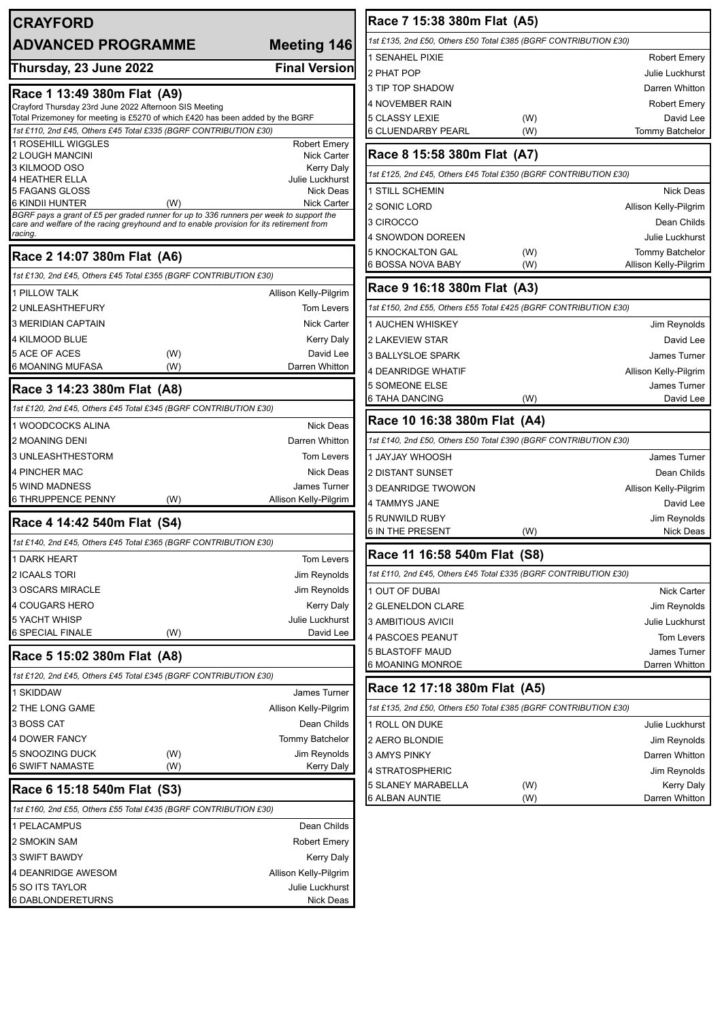| <b>CRAYFORD</b>                                                                                                                                                                     |                                      | Race 7 15:38 380m Flat (A5)                                      |     |                        |
|-------------------------------------------------------------------------------------------------------------------------------------------------------------------------------------|--------------------------------------|------------------------------------------------------------------|-----|------------------------|
| <b>ADVANCED PROGRAMME</b>                                                                                                                                                           | <b>Meeting 146</b>                   | 1st £135, 2nd £50, Others £50 Total £385 (BGRF CONTRIBUTION £30) |     |                        |
|                                                                                                                                                                                     |                                      | 1 SENAHEL PIXIE                                                  |     | <b>Robert Emery</b>    |
| Thursday, 23 June 2022                                                                                                                                                              | <b>Final Version</b>                 | 2 PHAT POP                                                       |     | Julie Luckhurst        |
| Race 1 13:49 380m Flat (A9)                                                                                                                                                         |                                      | 3 TIP TOP SHADOW                                                 |     | Darren Whitton         |
| Crayford Thursday 23rd June 2022 Afternoon SIS Meeting                                                                                                                              |                                      | 4 NOVEMBER RAIN                                                  |     | <b>Robert Emery</b>    |
| Total Prizemoney for meeting is £5270 of which £420 has been added by the BGRF<br>1st £110, 2nd £45, Others £45 Total £335 (BGRF CONTRIBUTION £30)                                  |                                      | 5 CLASSY LEXIE                                                   | (W) | David Lee              |
| 1 ROSEHILL WIGGLES                                                                                                                                                                  | <b>Robert Emery</b>                  | <b>6 CLUENDARBY PEARL</b>                                        | (W) | <b>Tommy Batchelor</b> |
| <b>2 LOUGH MANCINI</b>                                                                                                                                                              | <b>Nick Carter</b>                   | Race 8 15:58 380m Flat (A7)                                      |     |                        |
| 3 KILMOOD OSO                                                                                                                                                                       | <b>Kerry Daly</b><br>Julie Luckhurst | 1st £125, 2nd £45, Others £45 Total £350 (BGRF CONTRIBUTION £30) |     |                        |
| <b>4 HEATHER ELLA</b><br>5 FAGANS GLOSS                                                                                                                                             | Nick Deas                            | 1 STILL SCHEMIN                                                  |     | <b>Nick Deas</b>       |
| 6 KINDII HUNTER<br>(W)                                                                                                                                                              | <b>Nick Carter</b>                   | 2 SONIC LORD                                                     |     | Allison Kelly-Pilgrim  |
| BGRF pays a grant of £5 per graded runner for up to 336 runners per week to support the<br>care and welfare of the racing greyhound and to enable provision for its retirement from |                                      | 3 CIROCCO                                                        |     | Dean Childs            |
| racing.                                                                                                                                                                             |                                      | 4 SNOWDON DOREEN                                                 |     | <b>Julie Luckhurst</b> |
| Race 2 14:07 380m Flat (A6)                                                                                                                                                         |                                      | <b>5 KNOCKALTON GAL</b>                                          | (W) | Tommy Batchelor        |
| 1st £130, 2nd £45, Others £45 Total £355 (BGRF CONTRIBUTION £30)                                                                                                                    |                                      | 6 BOSSA NOVA BABY                                                | (W) | Allison Kelly-Pilgrim  |
| 1 PILLOW TALK                                                                                                                                                                       | Allison Kelly-Pilgrim                | Race 9 16:18 380m Flat (A3)                                      |     |                        |
| 2 UNLEASHTHEFURY                                                                                                                                                                    | Tom Levers                           | 1st £150, 2nd £55, Others £55 Total £425 (BGRF CONTRIBUTION £30) |     |                        |
| 3 MERIDIAN CAPTAIN                                                                                                                                                                  | <b>Nick Carter</b>                   | 1 AUCHEN WHISKEY                                                 |     | Jim Reynolds           |
| 4 KILMOOD BLUE                                                                                                                                                                      | <b>Kerry Daly</b>                    | <b>2 LAKEVIEW STAR</b>                                           |     | David Lee              |
| 5 ACE OF ACES<br>(W)                                                                                                                                                                | David Lee                            | 3 BALLYSLOE SPARK                                                |     | James Turner           |
| 6 MOANING MUFASA<br>(W)                                                                                                                                                             | Darren Whitton                       | 4 DEANRIDGE WHATIF                                               |     | Allison Kelly-Pilgrim  |
| Race 3 14:23 380m Flat (A8)                                                                                                                                                         |                                      | <b>5 SOMEONE ELSE</b>                                            |     | James Turner           |
| 1st £120, 2nd £45, Others £45 Total £345 (BGRF CONTRIBUTION £30)                                                                                                                    |                                      | <b>6 TAHA DANCING</b>                                            | (W) | David Lee              |
| 1 WOODCOCKS ALINA                                                                                                                                                                   | Nick Deas                            | Race 10 16:38 380m Flat (A4)                                     |     |                        |
| 2 MOANING DENI                                                                                                                                                                      | Darren Whitton                       | 1st £140, 2nd £50, Others £50 Total £390 (BGRF CONTRIBUTION £30) |     |                        |
| 3 UNLEASHTHESTORM                                                                                                                                                                   | Tom Levers                           | 1 JAYJAY WHOOSH                                                  |     | <b>James Turner</b>    |
| 4 PINCHER MAC                                                                                                                                                                       | <b>Nick Deas</b>                     | <b>2 DISTANT SUNSET</b>                                          |     | Dean Childs            |
| 5 WIND MADNESS                                                                                                                                                                      | James Turner                         | 3 DEANRIDGE TWOWON                                               |     | Allison Kelly-Pilgrim  |
| <b>6 THRUPPENCE PENNY</b><br>(W)                                                                                                                                                    | Allison Kelly-Pilgrim                | 4 TAMMYS JANE                                                    |     | David Lee              |
| Race 4 14:42 540m Flat (S4)                                                                                                                                                         |                                      | 5 RUNWILD RUBY                                                   |     | Jim Reynolds           |
| 1st £140, 2nd £45, Others £45 Total £365 (BGRF CONTRIBUTION £30)                                                                                                                    |                                      | <b>6 IN THE PRESENT</b>                                          | (W) | Nick Deas              |
| 1 DARK HEART                                                                                                                                                                        | Tom Levers                           | Race 11 16:58 540m Flat (S8)                                     |     |                        |
| 2 ICAALS TORI                                                                                                                                                                       | Jim Reynolds                         | 1st £110, 2nd £45, Others £45 Total £335 (BGRF CONTRIBUTION £30) |     |                        |
| 3 OSCARS MIRACLE                                                                                                                                                                    | Jim Reynolds                         | 1 OUT OF DUBAI                                                   |     | Nick Carter            |
| 4 COUGARS HERO                                                                                                                                                                      | <b>Kerry Daly</b>                    | 2 GLENELDON CLARE                                                |     | Jim Reynolds           |
| <b>5 YACHT WHISP</b>                                                                                                                                                                | Julie Luckhurst                      | 3 AMBITIOUS AVICII                                               |     | Julie Luckhurst        |
| <b>6 SPECIAL FINALE</b><br>(W)                                                                                                                                                      | David Lee                            | 4 PASCOES PEANUT                                                 |     | Tom Levers             |
| Race 5 15:02 380m Flat (A8)                                                                                                                                                         |                                      | <b>5 BLASTOFF MAUD</b>                                           |     | James Turner           |
| 1st £120, 2nd £45, Others £45 Total £345 (BGRF CONTRIBUTION £30)                                                                                                                    |                                      | <b>6 MOANING MONROE</b>                                          |     | Darren Whitton         |
| 1 SKIDDAW                                                                                                                                                                           | James Turner                         | Race 12 17:18 380m Flat (A5)                                     |     |                        |
| 2 THE LONG GAME                                                                                                                                                                     | Allison Kelly-Pilgrim                | 1st £135, 2nd £50, Others £50 Total £385 (BGRF CONTRIBUTION £30) |     |                        |
| 3 BOSS CAT                                                                                                                                                                          | Dean Childs                          | 1 ROLL ON DUKE                                                   |     | Julie Luckhurst        |
| <b>4 DOWER FANCY</b>                                                                                                                                                                | Tommy Batchelor                      | 2 AERO BLONDIE                                                   |     | Jim Reynolds           |
| 5 SNOOZING DUCK<br>(W)                                                                                                                                                              | Jim Reynolds                         | <b>3 AMYS PINKY</b>                                              |     | Darren Whitton         |
| <b>6 SWIFT NAMASTE</b><br>(W)                                                                                                                                                       | Kerry Daly                           | 4 STRATOSPHERIC                                                  |     | Jim Reynolds           |
| Race 6 15:18 540m Flat (S3)                                                                                                                                                         |                                      | 5 SLANEY MARABELLA                                               | (W) | Kerry Daly             |
| 1st £160, 2nd £55, Others £55 Total £435 (BGRF CONTRIBUTION £30)                                                                                                                    |                                      | <b>6 ALBAN AUNTIE</b>                                            | (W) | Darren Whitton         |
| 1 PELACAMPUS                                                                                                                                                                        | Dean Childs                          |                                                                  |     |                        |
| 2 SMOKIN SAM                                                                                                                                                                        | <b>Robert Emery</b>                  |                                                                  |     |                        |
| 3 SWIFT BAWDY                                                                                                                                                                       | Kerry Daly                           |                                                                  |     |                        |
| 4 DEANRIDGE AWESOM                                                                                                                                                                  | Allison Kelly-Pilgrim                |                                                                  |     |                        |
| 5 SO ITS TAYLOR                                                                                                                                                                     | Julie Luckhurst                      |                                                                  |     |                        |
| 6 DABLONDERETURNS                                                                                                                                                                   | Nick Deas                            |                                                                  |     |                        |